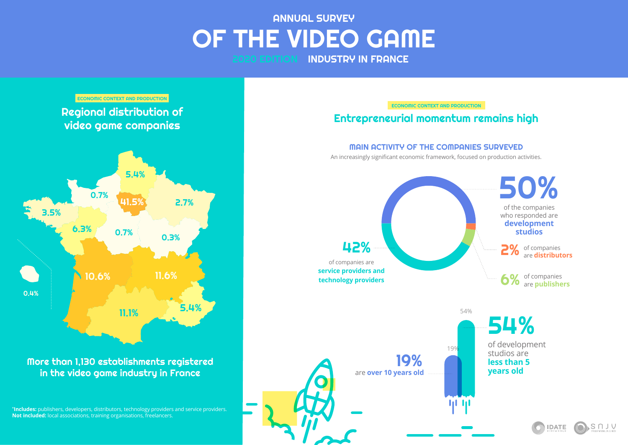# **ANNUAL SURVEY** OF THE VIDEO GAME 2020 EDITION INDUSTRY IN FRANCE

0.4%



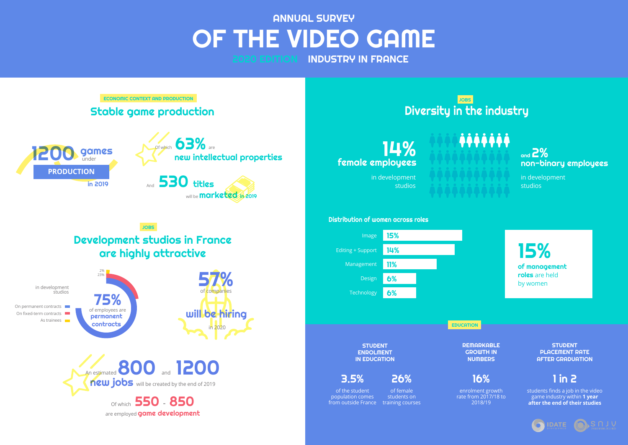**STUDENT** ENROLMENT IN EDUCATION

**STUDENT** PLACEMENT RATE AFTER GRADUATION

## 1 in 2

students finds a job in the video game industry within **1 year after the end of their studies**





3.5%

from outside France training courses

of the student population comes 16%

enrolment growth rate from 2017/18 to 2018/19

26% of female students on

*iiiiii* 

14% female employees



in development studios

in development studios

## Distribution of women across roles

## Diversity in the industry JOBS



15%

# **ANNUAL SURVEY** OF THE VIDEO GAME 2020 EDITION INDUSTRY IN FRANCE

of management roles are held by women

EDUCATION

**REMARKABLE** GROWTH IN **NUMBERS** 



are employed **game development**